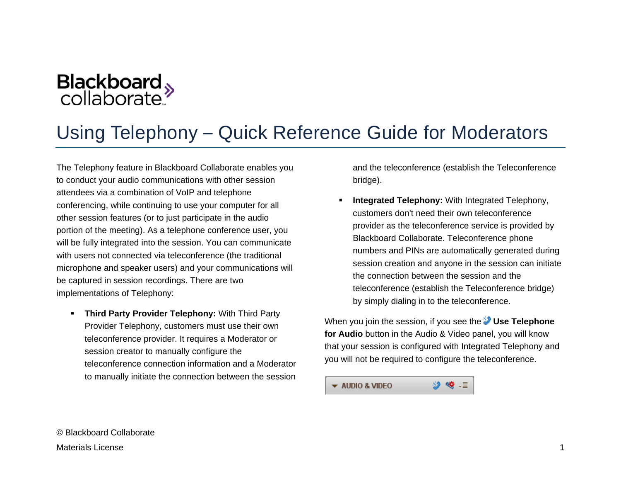

# Using Telephony – Quick Reference Guide for Moderators

The Telephony feature in Blackboard Collaborate enables you to conduct your audio communications with other session attendees via a combination of VoIP and telephone conferencing, while continuing to use your computer for all other session features (or to just participate in the audio portion of the meeting). As a telephone conference user, you will be fully integrated into the session. You can communicate with users not connected via teleconference (the traditional microphone and speaker users) and your communications will be captured in session recordings. There are two implementations of Telephony:

 **Third Party Provider Telephony:** With Third Party Provider Telephony, customers must use their own teleconference provider. It requires a Moderator or session creator to manually configure the teleconference connection information and a Moderator to manually initiate the connection between the session

and the teleconference (establish the Teleconference bridge).

 **Integrated Telephony:** With Integrated Telephony, customers don't need their own teleconference provider as the teleconference service is provided by Blackboard Collaborate. Teleconference phone numbers and PINs are automatically generated during session creation and anyone in the session can initiate the connection between the session and the teleconference (establish the Teleconference bridge) by simply dialing in to the teleconference.

When you join the session, if you see the **Use Telephone for Audio** button in the Audio & Video panel, you will know that your session is configured with Integrated Telephony and you will not be required to configure the teleconference.

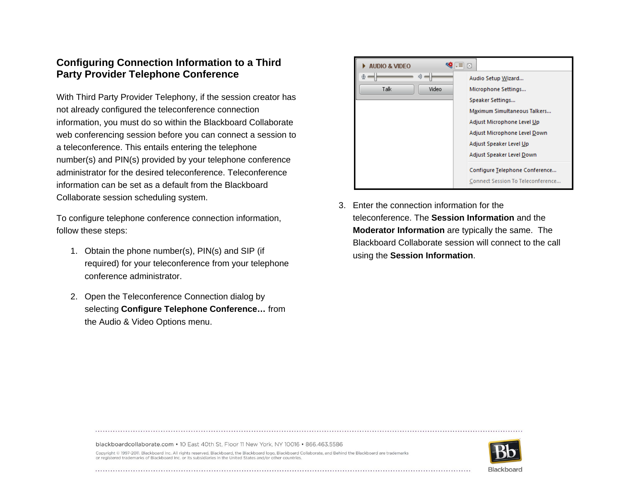# **Configuring Connection Information to a Third Party Provider Telephone Conference**

With Third Party Provider Telephony, if the session creator has not already configured the teleconference connection information, you must do so within the Blackboard Collaborate web conferencing session before you can connect a session to a teleconference. This entails entering the telephone number(s) and PIN(s) provided by your telephone conference administrator for the desired teleconference. Teleconference information can be set as a default from the Blackboard Collaborate session scheduling system.

To configure telephone conference connection information, follow these steps:

- 1. Obtain the phone number(s), PIN(s) and SIP (if required) for your teleconference from your telephone conference administrator.
- 2. Open the Teleconference Connection dialog by selecting **Configure Telephone Conference…** from the Audio & Video Options menu.



3. Enter the connection information for the teleconference. The **Session Information** and the **Moderator Information** are typically the same. The Blackboard Collaborate session will connect to the call using the **Session Information**.

blackboardcollaborate.com • 10 East 40th St, Floor 11 New York, NY 10016 • 866.463.5586



Copyright @ 1997-2011. Blackboard Inc. All rights reserved. Blackboard, the Blackboard logo, Blackboard Collaborate, and Behind the Blackboard are trademarks or registered trademarks of Blackboard Inc. or its subsidiaries in the United States and/or other countries.

Blackboard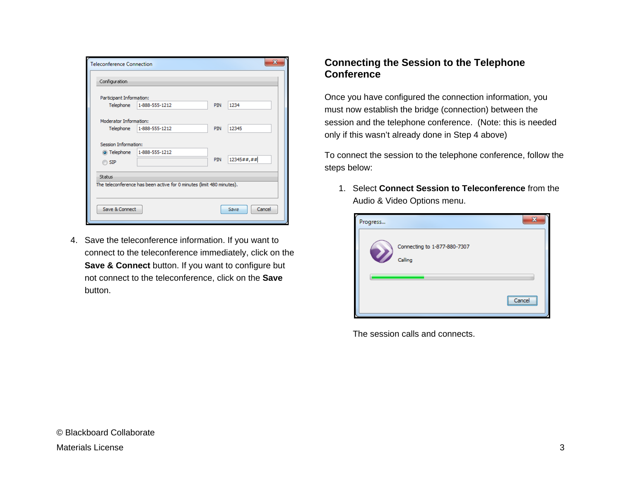| <b>Teleconference Connection</b><br>Configuration                               |                |            | х              |
|---------------------------------------------------------------------------------|----------------|------------|----------------|
| Participant Information:                                                        |                |            |                |
| Telephone                                                                       | 1-888-555-1212 | <b>PIN</b> | 1234           |
| Moderator Information:                                                          |                |            |                |
| Telephone                                                                       | 1-888-555-1212 | PIN        | 12345          |
| <b>Session Information:</b><br>O Telephone                                      | 1-888-555-1212 |            |                |
| <b>SIP</b>                                                                      |                | <b>PIN</b> | 12345##,##     |
| Status<br>The teleconference has been active for 0 minutes (limit 480 minutes). |                |            |                |
| Save & Connect                                                                  |                |            | Cancel<br>Save |

4. Save the teleconference information. If you want to connect to the teleconference immediately, click on the **Save & Connect** button. If you want to configure but not connect to the teleconference, click on the **Save** button.

# **Connecting the Session to the Telephone Conference**

Once you have configured the connection information, you must now establish the bridge (connection) between the session and the telephone conference. (Note: this is needed only if this wasn't already done in Step 4 above)

To connect the session to the telephone conference, follow the steps below:

1. Select **Connect Session to Teleconference** from the Audio & Video Options menu.

| Progress         |                              |                |
|------------------|------------------------------|----------------|
| <b>V</b> Calling | Connecting to 1-877-880-7307 |                |
|                  |                              | <br>Cancel<br> |

The session calls and connects.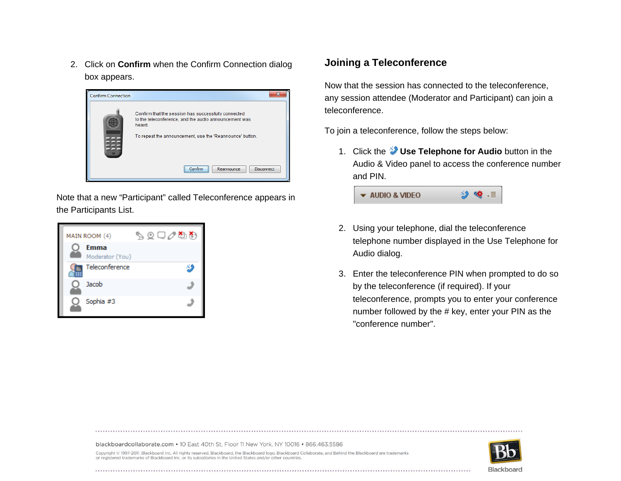2. Click on **Confirm** when the Confirm Connection dialog box appears.



Note that a new "Participant" called Teleconference appears in the Participants List.

| MAIN ROOM (4)           | طھ⊘⊡ی∂ |
|-------------------------|--------|
| Emma<br>Moderator (You) |        |
| Teleconference          | 성      |
| Jacob                   |        |
| Sophia #3               |        |

## **Joining a Teleconference**

Now that the session has connected to the teleconference, any session attendee (Moderator and Participant) can join a teleconference.

To join a teleconference, follow the steps below:

1. Click the **Use Telephone for Audio** button in the Audio & Video panel to access the conference number and PIN.



- 2. Using your telephone, dial the teleconference telephone number displayed in the Use Telephone for Audio dialog.
- 3. Enter the teleconference PIN when prompted to do so by the teleconference (if required). If your teleconference, prompts you to enter your conference number followed by the # key, enter your PIN as the "conference number".

blackboardcollaborate.com • 10 East 40th St, Floor 11 New York, NY 10016 • 866.463.5586



Copyright @ 1997-2011. Blackboard Inc. All rights reserved. Blackboard, the Blackboard logo, Blackboard Collaborate, and Behind the Blackboard are trademarks or registered trademarks of Blackboard Inc. or its subsidiaries in the United States and/or other countries.

Blackboard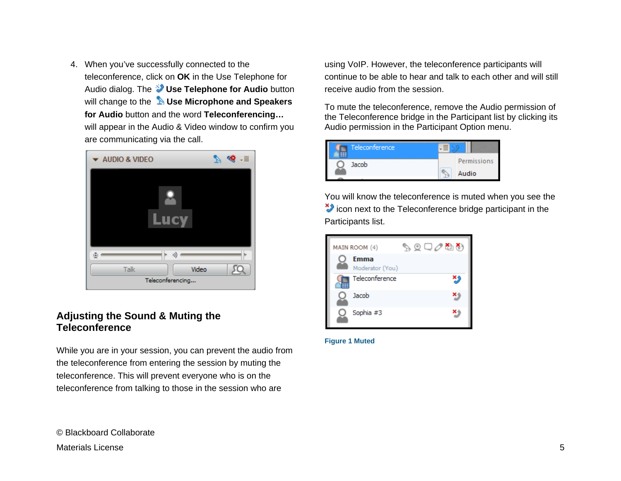4. When you've successfully connected to the teleconference, click on **OK** in the Use Telephone for Audio dialog. The **Use Telephone for Audio** button will change to the **Use Microphone and Speakers for Audio** button and the word **Teleconferencing…** will appear in the Audio & Video window to confirm you are communicating via the call.



### **Adjusting the Sound & Muting the Teleconference**

While you are in your session, you can prevent the audio from the teleconference from entering the session by muting the teleconference. This will prevent everyone who is on the teleconference from talking to those in the session who are

using VoIP. However, the teleconference participants will continue to be able to hear and talk to each other and will still receive audio from the session.

To mute the teleconference, remove the Audio permission of the Teleconference bridge in the Participant list by clicking its Audio permission in the Participant Option menu.

| Teleconference |             |
|----------------|-------------|
| Jacob          | Permissions |
|                | Audio       |

You will know the teleconference is muted when you see the icon next to the Teleconference bridge participant in the Participants list.

| MAIN ROOM (4)                  | طھ⊘⊡ی⊘ |   |
|--------------------------------|--------|---|
| <b>Emma</b><br>Moderator (You) |        |   |
| Teleconference                 |        | 今 |
| Jacob                          |        |   |
| Sophia #3                      |        |   |

#### **Figure 1 Muted**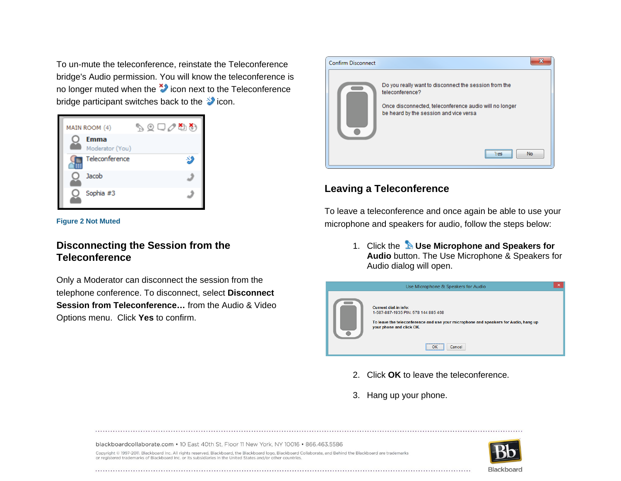To un-mute the teleconference, reinstate the Teleconference bridge's Audio permission. You will know the teleconference is no longer muted when the  $\ddot{\bullet}$  icon next to the Teleconference bridge participant switches back to the  $\blacktriangleright$  icon.



#### **Figure 2 Not Muted**

## **Disconnecting the Session from the Teleconference**

Only a Moderator can disconnect the session from the telephone conference. To disconnect, select **Disconnect Session from Teleconference…** from the Audio & Video Options menu. Click **Yes** to confirm.



## **Leaving a Teleconference**

To leave a teleconference and once again be able to use your microphone and speakers for audio, follow the steps below:

> 1. Click the **Use Microphone and Speakers for Audio** button. The Use Microphone & Speakers for Audio dialog will open.



- 2. Click **OK** to leave the teleconference.
- 3. Hang up your phone.

blackboardcollaborate.com • 10 East 40th St, Floor 11 New York, NY 10016 • 866.463.5586

Copyright @ 1997-2011. Blackboard Inc. All rights reserved. Blackboard, the Blackboard logo, Blackboard Collaborate, and Behind the Blackboard are trademarks or registered trademarks of Blackboard Inc. or its subsidiaries in the United States and/or other countries.